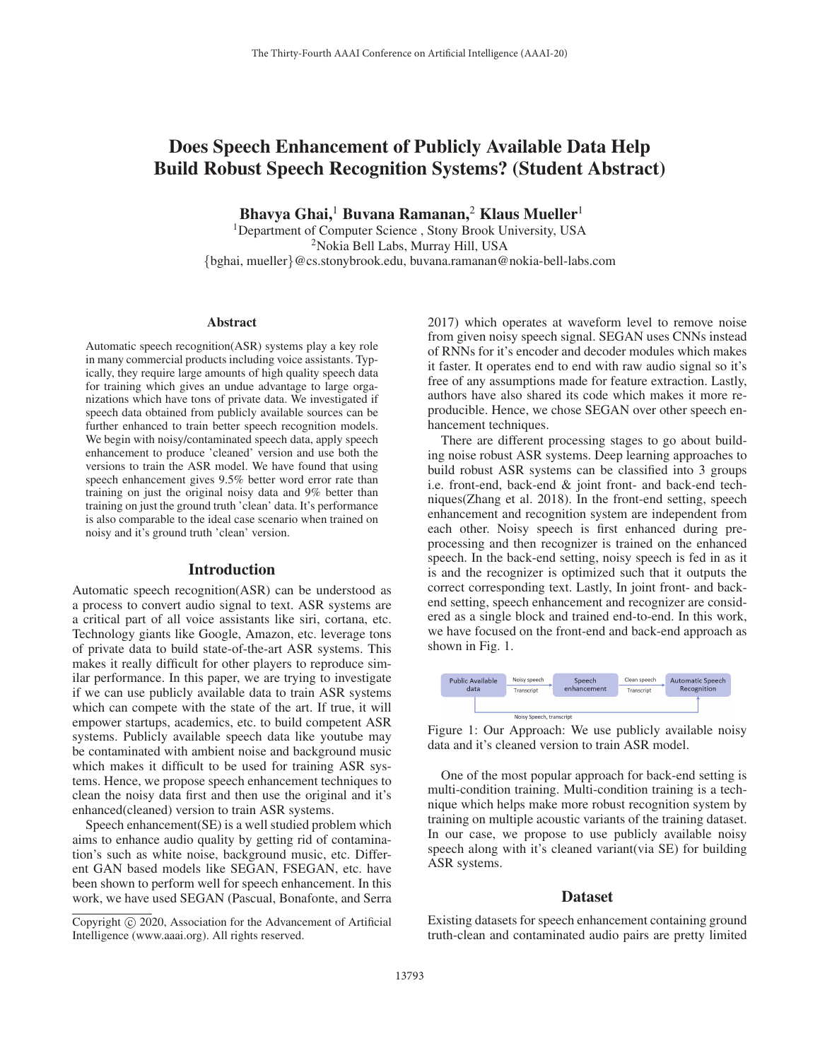# Does Speech Enhancement of Publicly Available Data Help Build Robust Speech Recognition Systems? (Student Abstract)

Bhavya Ghai,<sup>1</sup> Buvana Ramanan,<sup>2</sup> Klaus Mueller<sup>1</sup>

<sup>1</sup>Department of Computer Science, Stony Brook University, USA <sup>2</sup>Nokia Bell Labs, Murray Hill, USA {bghai, mueller}@cs.stonybrook.edu, buvana.ramanan@nokia-bell-labs.com

#### Abstract

Automatic speech recognition(ASR) systems play a key role in many commercial products including voice assistants. Typically, they require large amounts of high quality speech data for training which gives an undue advantage to large organizations which have tons of private data. We investigated if speech data obtained from publicly available sources can be further enhanced to train better speech recognition models. We begin with noisy/contaminated speech data, apply speech enhancement to produce 'cleaned' version and use both the versions to train the ASR model. We have found that using speech enhancement gives 9.5% better word error rate than training on just the original noisy data and 9% better than training on just the ground truth 'clean' data. It's performance is also comparable to the ideal case scenario when trained on noisy and it's ground truth 'clean' version.

### Introduction

Automatic speech recognition(ASR) can be understood as a process to convert audio signal to text. ASR systems are a critical part of all voice assistants like siri, cortana, etc. Technology giants like Google, Amazon, etc. leverage tons of private data to build state-of-the-art ASR systems. This makes it really difficult for other players to reproduce similar performance. In this paper, we are trying to investigate if we can use publicly available data to train ASR systems which can compete with the state of the art. If true, it will empower startups, academics, etc. to build competent ASR systems. Publicly available speech data like youtube may be contaminated with ambient noise and background music which makes it difficult to be used for training ASR systems. Hence, we propose speech enhancement techniques to clean the noisy data first and then use the original and it's enhanced(cleaned) version to train ASR systems.

Speech enhancement(SE) is a well studied problem which aims to enhance audio quality by getting rid of contamination's such as white noise, background music, etc. Different GAN based models like SEGAN, FSEGAN, etc. have been shown to perform well for speech enhancement. In this work, we have used SEGAN (Pascual, Bonafonte, and Serra 2017) which operates at waveform level to remove noise from given noisy speech signal. SEGAN uses CNNs instead of RNNs for it's encoder and decoder modules which makes it faster. It operates end to end with raw audio signal so it's free of any assumptions made for feature extraction. Lastly, authors have also shared its code which makes it more reproducible. Hence, we chose SEGAN over other speech enhancement techniques.

There are different processing stages to go about building noise robust ASR systems. Deep learning approaches to build robust ASR systems can be classified into 3 groups i.e. front-end, back-end & joint front- and back-end techniques(Zhang et al. 2018). In the front-end setting, speech enhancement and recognition system are independent from each other. Noisy speech is first enhanced during preprocessing and then recognizer is trained on the enhanced speech. In the back-end setting, noisy speech is fed in as it is and the recognizer is optimized such that it outputs the correct corresponding text. Lastly, In joint front- and backend setting, speech enhancement and recognizer are considered as a single block and trained end-to-end. In this work, we have focused on the front-end and back-end approach as shown in Fig. 1.



Figure 1: Our Approach: We use publicly available noisy data and it's cleaned version to train ASR model.

One of the most popular approach for back-end setting is multi-condition training. Multi-condition training is a technique which helps make more robust recognition system by training on multiple acoustic variants of the training dataset. In our case, we propose to use publicly available noisy speech along with it's cleaned variant(via SE) for building ASR systems.

# Dataset

Existing datasets for speech enhancement containing ground truth-clean and contaminated audio pairs are pretty limited

Copyright  $\odot$  2020, Association for the Advancement of Artificial Intelligence (www.aaai.org). All rights reserved.